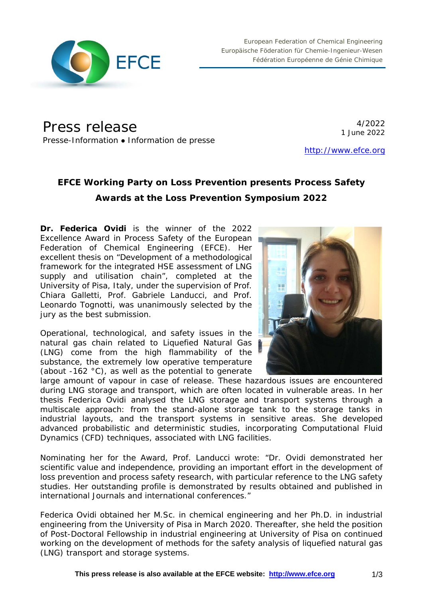

Press release

4/2022 1 June 2022

Presse-Information • Information de presse

[http://www.efce.org](http://www.efce.org/)

# **EFCE Working Party on Loss Prevention presents Process Safety Awards at the Loss Prevention Symposium 2022**

**Dr. Federica Ovidi** is the winner of the 2022 Excellence Award in Process Safety of the European Federation of Chemical Engineering (EFCE). Her excellent thesis on "*Development of a methodological framework for the integrated HSE assessment of LNG supply and utilisation chain*", completed at the University of Pisa, Italy, under the supervision of Prof. Chiara Galletti, Prof. Gabriele Landucci, and Prof. Leonardo Tognotti, was unanimously selected by the jury as the best submission.

Operational, technological, and safety issues in the natural gas chain related to Liquefied Natural Gas (LNG) come from the high flammability of the substance, the extremely low operative temperature (about -162 °C), as well as the potential to generate



large amount of vapour in case of release. These hazardous issues are encountered during LNG storage and transport, which are often located in vulnerable areas. In her thesis Federica Ovidi analysed the LNG storage and transport systems through a multiscale approach: from the stand-alone storage tank to the storage tanks in industrial layouts, and the transport systems in sensitive areas. She developed advanced probabilistic and deterministic studies, incorporating Computational Fluid Dynamics (CFD) techniques, associated with LNG facilities.

Nominating her for the Award, Prof. Landucci wrote: "Dr. Ovidi demonstrated her scientific value and independence, providing an important effort in the development of loss prevention and process safety research, with particular reference to the LNG safety studies. Her outstanding profile is demonstrated by results obtained and published in international Journals and international conferences."

Federica Ovidi obtained her M.Sc. in chemical engineering and her Ph.D. in industrial engineering from the University of Pisa in March 2020. Thereafter, she held the position of Post-Doctoral Fellowship in industrial engineering at University of Pisa on continued working on the development of methods for the safety analysis of liquefied natural gas (LNG) transport and storage systems.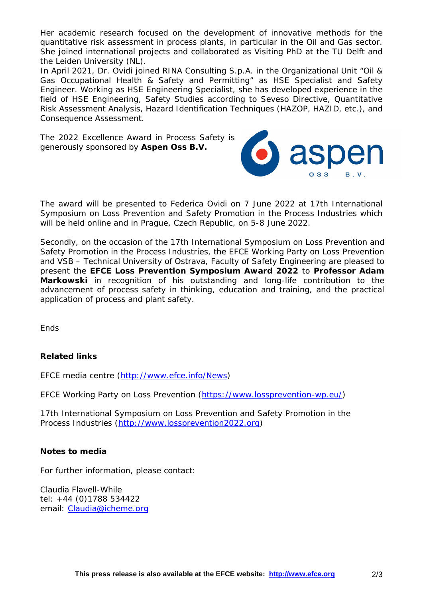Her academic research focused on the development of innovative methods for the quantitative risk assessment in process plants, in particular in the Oil and Gas sector. She joined international projects and collaborated as Visiting PhD at the TU Delft and the Leiden University (NL).

In April 2021, Dr. Ovidi joined RINA Consulting S.p.A. in the Organizational Unit "Oil & Gas Occupational Health & Safety and Permitting" as HSE Specialist and Safety Engineer. Working as HSE Engineering Specialist, she has developed experience in the field of HSE Engineering, Safety Studies according to Seveso Directive, Quantitative Risk Assessment Analysis, Hazard Identification Techniques (HAZOP, HAZID, etc.), and Consequence Assessment.

The 2022 Excellence Award in Process Safety is generously sponsored by **Aspen Oss B.V.**



The award will be presented to Federica Ovidi on 7 June 2022 at 17th International Symposium on Loss Prevention and Safety Promotion in the Process Industries which will be held online and in Prague, Czech Republic, on 5-8 June 2022.

Secondly, on the occasion of the 17th International Symposium on Loss Prevention and Safety Promotion in the Process Industries, the EFCE Working Party on Loss Prevention and VSB – Technical University of Ostrava, Faculty of Safety Engineering are pleased to present the **EFCE Loss Prevention Symposium Award 2022** to **Professor Adam Markowski** in recognition of his outstanding and long-life contribution to the advancement of process safety in thinking, education and training, and the practical application of process and plant safety.

**Fnds** 

### **Related links**

EFCE media centre [\(http://www.efce.info/News\)](http://www.efce.info/News)

EFCE Working Party on Loss Prevention [\(https://www.lossprevention-wp.eu/\)](https://www.lossprevention-wp.eu/)

17th International Symposium on Loss Prevention and Safety Promotion in the Process Industries [\(http://www.lossprevention2022.org\)](http://www.lossprevention2022.org/)

### **Notes to media**

For further information, please contact:

Claudia Flavell-While tel: +44 (0)1788 534422 email: [Claudia@icheme.org](mailto:Claudia@icheme.org)